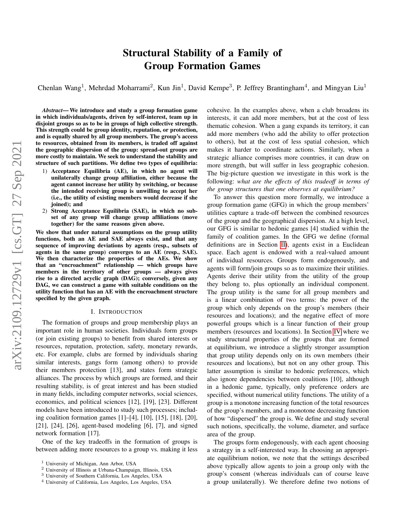# Structural Stability of a Family of Group Formation Games

Chenlan Wang<sup>1</sup>, Mehrdad Moharrami<sup>2</sup>, Kun Jin<sup>1</sup>, David Kempe<sup>3</sup>, P. Jeffrey Brantingham<sup>4</sup>, and Mingyan Liu<sup>1</sup>

*Abstract*— We introduce and study a group formation game in which individuals/agents, driven by self-interest, team up in disjoint groups so as to be in groups of high collective strength. This strength could be group identity, reputation, or protection, and is equally shared by all group members. The group's access to resources, obtained from its members, is traded off against the geographic dispersion of the group: spread-out groups are more costly to maintain. We seek to understand the stability and structure of such partitions. We define two types of equilibria:

- 1) Acceptance Equilibria (AE), in which no agent will unilaterally change group affiliation, either because the agent cannot increase her utility by switching, or because the intended receiving group is unwilling to accept her (i.e., the utility of existing members would decrease if she joined); and
- 2) Strong Acceptance Equilibria (SAE), in which no subset of any group will change group affiliations (move together) for the same reasons given above.

We show that under natural assumptions on the group utility functions, both an AE and SAE always exist, and that any sequence of improving deviations by agents (resp., subsets of agents in the same group) converges to an AE (resp., SAE). We then characterize the properties of the AEs. We show that an "encroachment" relationship — which groups have members in the territory of other groups — always gives rise to a directed acyclic graph (DAG); conversely, given any DAG, we can construct a game with suitable conditions on the utility function that has an AE with the encroachment structure specified by the given graph.

#### I. INTRODUCTION

The formation of groups and group membership plays an important role in human societies. Individuals form groups (or join existing groups) to benefit from shared interests or resources, reputation, protection, safety, monetary rewards, etc. For example, clubs are formed by individuals sharing similar interests, gangs form (among others) to provide their members protection [13], and states form strategic alliances. The process by which groups are formed, and their resulting stability, is of great interest and has been studied in many fields, including computer networks, social sciences, economics, and political sciences [12], [19], [23]. Different models have been introduced to study such processes; including coalition formation games [1]–[4], [10], [15], [18], [20], [21], [24], [26], agent-based modeling [6], [7], and signed network formation [17].

One of the key tradeoffs in the formation of groups is between adding more resources to a group vs. making it less cohesive. In the examples above, when a club broadens its interests, it can add more members, but at the cost of less thematic cohesion. When a gang expands its territory, it can add more members (who add the ability to offer protection to others), but at the cost of less spatial cohesion, which makes it harder to coordinate actions. Similarly, when a strategic alliance comprises more countries, it can draw on more strength, but will suffer in less geographic cohesion. The big-picture question we investigate in this work is the following: *what are the effects of this tradeoff in terms of the group structures that one observes at equilibrium?*

To answer this question more formally, we introduce a group formation game (GFG) in which the group members' utilities capture a trade-off between the combined resources of the group and the geographical dispersion. At a high level, our GFG is similar to hedonic games [4] studied within the family of coalition games. In the GFG we define (formal definitions are in Section [II\)](#page-1-0), agents exist in a Euclidean space. Each agent is endowed with a real-valued amount of individual resources. Groups form endogenously, and agents will form/join groups so as to maximize their utilities. Agents derive their utility from the utility of the group they belong to, plus optionally an individual component. The group utility is the same for all group members and is a linear combination of two terms: the power of the group which only depends on the group's members (their resources and locations); and the negative effect of more powerful groups which is a linear function of their group members (resources and locations). In Section [IV](#page-4-0) where we study structural properties of the groups that are formed at equilibrium, we introduce a slightly stronger assumption that group utility depends only on its own members (their resources and locations), but not on any other group. This latter assumption is similar to hedonic preferences, which also ignore dependencies between coalitions [10], although in a hedonic game, typically, only preference orders are specified, without numerical utility functions. The utility of a group is a monotone increasing function of the total resources of the group's members, and a monotone decreasing function of how "dispersed" the group is. We define and study several such notions, specifically, the volume, diameter, and surface area of the group.

The groups form endogenously, with each agent choosing a strategy in a self-interested way. In choosing an appropriate equilibrium notion, we note that the settings described above typically allow agents to join a group only with the group's consent (whereas individuals can of course leave a group unilaterally). We therefore define two notions of

<sup>1</sup> University of Michigan, Ann Arbor, USA

<sup>2</sup> University of Illinois at Urbana-Champaign, Illinois, USA

<sup>3</sup> University of Southern California, Los Angeles, USA

<sup>4</sup> University of California, Los Angeles, Los Angeles, USA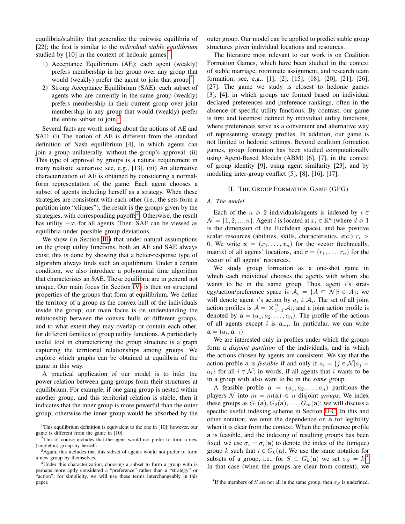equilibria/stability that generalize the pairwise equilibria of [22]; the first is similar to the *individual stable equilibrium* studied by  $[10]$  $[10]$  $[10]$  in the context of hedonic games.<sup>1</sup>

- 1) Acceptance Equilibrium (AE): each agent (weakly) prefers membership in her group over any group that would (weakly) prefer the agent to join that group.<sup>[2](#page-1-2)</sup>
- 2) Strong Acceptance Equilibrium (SAE): each subset of agents who are currently in the same group (weakly) prefers membership in their current group over joint membership in any group that would (weakly) prefer the entire subset to join. $3$

Several facts are worth noting about the notions of AE and SAE: (i) The notion of AE is different from the standard definition of Nash equilibrium [4], in which agents can join a group unilaterally, without the group's approval. (ii) This type of approval by groups is a natural requirement in many realistic scenarios; see, e.g., [13]. (iii) An alternative characterization of AE is obtained by considering a normalform representation of the game. Each agent chooses a subset of agents including herself as a strategy. When these strategies are consistent with each other (i.e., the sets form a partition into "cliques"), the result is the groups given by the strategies, with corresponding payoffs<sup>[4](#page-1-4)</sup>. Otherwise, the result has utility  $-\infty$  for all agents. Then, SAE can be viewed as equilibria under possible group deviations.

We show (in Section [III\)](#page-3-0) that under natural assumptions on the group utility functions, both an AE and SAE always exist; this is done by showing that a better-response type of algorithm always finds such an equilibrium. Under a certain condition, we also introduce a polynomial time algorithm that characterizes an SAE. These equilibria are in general not unique. Our main focus (in Section [IV\)](#page-4-0) is then on structural properties of the groups that form at equilibrium. We define the territory of a group as the convex hull of the individuals inside the group; our main focus is on understanding the relationship between the convex hulls of different groups, and to what extent they may overlap or contain each other, for different families of group utility functions. A particularly useful tool in characterizing the group structure is a graph capturing the territorial relationships among groups. We explore which graphs can be obtained at equilibria of the game in this way.

A practical application of our model is to infer the power relation between gang groups from their structures at equilibrium. For example, if one gang group is nested within another group, and this territorial relation is stable, then it indicates that the inner group is more powerful than the outer group; otherwise the inner group would be absorbed by the

outer group. Our model can be applied to predict stable group structures given individual locations and resources.

The literature most relevant to our work is on Coalition Formation Games, which have been studied in the context of stable marriage, roommate assignment, and research team formation; see, e.g., [1], [2], [15], [18], [20], [21], [26], [27]. The game we study is closest to hedonic games [3], [4], in which groups are formed based on individual declared preferences and preference rankings, often in the absence of specific utility functions. By contrast, our game is first and foremost defined by individual utility functions, where preferences serve as a convenient and alternative way of representing strategy profiles. In addition, our game is not limited to hedonic settings. Beyond coalition formation games, group formation has been studied computationally using Agent-Based Models (ABM) [6], [7], in the context of group identity [9], using agent similarity [23], and by modeling inter-group conflict [5], [8], [16], [17].

## II. THE GROUP FORMATION GAME (GFG)

# <span id="page-1-6"></span><span id="page-1-0"></span>*A. The model*

Each of the  $n \geq 2$  individuals/agents is indexed by  $i \in$  $\mathcal{N} = \{1, 2, ..., n\}$ . Agent i is located at  $x_i \in \mathbb{R}^d$  (where  $d \ge 1$ ) is the dimension of the Euclidean space), and has positive scalar resources (abilities, skills, characteristics, etc.)  $r_i$  > 0. We write  $\mathbf{x} = (x_1, \dots, x_n)$  for the vector (technically, matrix) of all agents' locations, and  $\mathbf{r} = (r_1, \dots, r_n)$  for the vector of all agents' resources.

We study group formation as a one-shot game in which each individual chooses the agents with whom she wants to be in the same group. Thus, agent  $i$ 's strategy/action/preference space is  $A_i = \{A \subseteq \mathcal{N} | i \in A\}$ ; we will denote agent i's action by  $a_i \in A_i$ . The set of all joint<br>cetten profiles is  $A \rightarrow a^n A$ , and a joint estion profile is action profiles is  $A = \times_{i=1}^{n} A_i$ , and a joint action profile is denoted by  $\mathbf{a} = (a_1, a_2, \dots, a_n)$ . The profile of the actions of all agents except i is  $a_{-i}$ . In particular, we can write  $\mathbf{a} = (a_i, \mathbf{a}_{-i}).$ 

We are interested only in profiles under which the groups form a *disjoint partition* of the individuals, and in which the actions chosen by agents are consistent. We say that the action profile a is *feasible* if and only if  $a_i = \{j \in \mathcal{N} | a_j = \emptyset\}$  $a_i$  for all  $i \in \mathcal{N}$ ; in words, if all agents that i wants to be in a group with also want to be in the *same* group.

A feasible profile  $a = (a_1, a_2, \ldots, a_n)$  partitions the players N into  $m = m(\mathbf{a}) \leq n$  disjoint *groups*. We index these groups as  $G_1(\mathbf{a}), G_2(\mathbf{a}), \ldots, G_m(\mathbf{a})$ ; we will discuss a specific useful indexing scheme in Section [II-C.](#page-3-1) In this and other notation, we omit the dependence on a for legibility when it is clear from the context. When the preference profile a is feasible, and the indexing of resulting groups has been fixed, we use  $\sigma_i = \sigma_i(\mathbf{a})$  to denote the index of the (unique) group k such that  $i \in G_k(a)$ . We use the same notation for subsets of a group, i.e., for  $S \subset G_k(\mathbf{a})$  we set  $\sigma_S = k$ .<sup>[5](#page-1-5)</sup> In that case (when the groups are clear from context), we

<span id="page-1-1"></span><sup>&</sup>lt;sup>1</sup>This equilibrium definition is equivalent to the one in [10]; however, our game is different from the game in [10].

<span id="page-1-2"></span><sup>&</sup>lt;sup>2</sup>This of course includes that the agent would not prefer to form a new (singleton) group by herself.

<span id="page-1-3"></span><sup>&</sup>lt;sup>3</sup>Again, this includes that this subset of agents would not prefer to form a new group by themselves.

<span id="page-1-4"></span><sup>4</sup>Under this characterization, choosing a subset to form a group with is perhaps more aptly considered a "preference" rather than a "strategy" or "action"; for simplicity, we will use these terms interchangeably in this paper.

<span id="page-1-5"></span><sup>&</sup>lt;sup>5</sup>If the members of S are not all in the same group, then  $\sigma_S$  is undefined.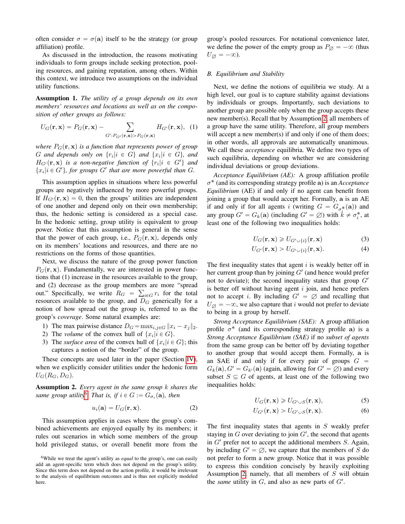often consider  $\sigma = \sigma(\mathbf{a})$  itself to be the strategy (or group affiliation) profile.

As discussed in the introduction, the reasons motivating individuals to form groups include seeking protection, pooling resources, and gaining reputation, among others. Within this context, we introduce two assumptions on the individual utility functions.

Assumption 1. *The utility of a group depends on its own members' resources and locations as well as on the composition of other groups as follows:*

$$
U_G(\mathbf{r}, \mathbf{x}) = P_G(\mathbf{r}, \mathbf{x}) - \sum_{G':P_{G'}(\mathbf{r}, \mathbf{x}) > P_G(\mathbf{r}, \mathbf{x})} H_{G'}(\mathbf{r}, \mathbf{x}), \tag{1}
$$

*where*  $P_G(\mathbf{r}, \mathbf{x})$  *is a function that represents power of group*  $G$  and depends only on  $\{r_i | i \in G\}$  and  $\{x_i | i \in G\}$ , and  $H_{G'}(\mathbf{r}, \mathbf{x})$  is a non-negative function of  $\{r_i | i \in G'\}$  and  ${x_i | i \in G'}$ , for groups  $G'$  that are more powerful than G.

This assumption applies in situations where less powerful groups are negatively influenced by more powerful groups. If  $H_{G'}(\mathbf{r}, \mathbf{x}) = 0$ , then the groups' utilities are independent of one another and depend only on their own membership; thus, the hedonic setting is considered as a special case. In the hedonic setting, group utility is equivalent to group power. Notice that this assumption is general in the sense that the power of each group, i.e.,  $P_G(\mathbf{r}, \mathbf{x})$ , depends only on its members' locations and resources, and there are no restrictions on the forms of those quantities.

Next, we discuss the nature of the group power function  $P_G(\mathbf{r}, \mathbf{x})$ . Fundamentally, we are interested in power functions that (1) increase in the resources available to the group, and (2) decrease as the group members are more "spread out." Specifically, we write  $R_G = \sum_{i \in G} r_i$  for the total resources available to the group, and  $D_G$  generically for a notion of how spread out the group is, referred to as the group's *coverage*. Some natural examples are:

- 1) The max pairwise distance  $D_G = \max_{i,j \in G} ||x_i x_j||_2$ .
- 2) The *volume* of the convex hull of  $\{x_i | i \in G\}$ .
- 3) The *surface area* of the convex hull of  $\{x_i | i \in G\}$ ; this captures a notion of the "border" of the group.

These concepts are used later in the paper (Section [IV\)](#page-4-0), when we explicitly consider utilities under the hedonic form  $U_G(R_G, D_G)$ .

<span id="page-2-1"></span>Assumption 2. *Every agent in the same group* k *shares the same group utility*<sup>[6](#page-2-0)</sup>. That is, if  $i \in G := G_{\sigma_i}(\mathbf{a})$ , then

$$
u_i(\mathbf{a}) = U_G(\mathbf{r}, \mathbf{x}).\tag{2}
$$

This assumption applies in cases where the group's combined achievements are enjoyed equally by its members; it rules out scenarios in which some members of the group hold privileged status, or overall benefit more from the

group's pooled resources. For notational convenience later, we define the power of the empty group as  $P_{\emptyset} = -\infty$  (thus  $U_{\emptyset} = -\infty$ ).

## *B. Equilibrium and Stability*

Next, we define the notions of equilibria we study. At a high level, our goal is to capture stability against deviations by individuals or groups. Importantly, such deviations to another group are possible only when the group accepts these new member(s). Recall that by Assumption [2,](#page-2-1) all members of a group have the same utility. Therefore, all group members will accept a new member(s) if and only if one of them does; in other words, all approvals are automatically unanimous. We call these *acceptance* equilibria. We define two types of such equilibria, depending on whether we are considering individual deviations or group deviations.

*Acceptance Equilibrium (AE):* A group affiliation profile σ ˚ (and its corresponding strategy profile a) is an *Acceptance Equilibrium* (AE) if and only if no agent can benefit from joining a group that would accept her. Formally, a is an AE if and only if for all agents i (writing  $G = G_{\sigma_i^*}(\mathbf{a})$ ) and any group  $G' = G_k(\mathbf{a})$  (including  $G' = \emptyset$ ) with  $k \neq \sigma_i^*$ , at least one of the following two inequalities holds:

$$
U_G(\mathbf{r}, \mathbf{x}) \geq U_{G' \cup \{i\}}(\mathbf{r}, \mathbf{x})
$$
\n(3)

$$
U_{G'}(\mathbf{r}, \mathbf{x}) > U_{G' \cup \{i\}}(\mathbf{r}, \mathbf{x}).\tag{4}
$$

The first inequality states that agent  $i$  is weakly better off in her current group than by joining  $G'$  (and hence would prefer not to deviate); the second inequality states that group  $G'$ is better off without having agent  $i$  join, and hence prefers not to accept i. By including  $G' = \emptyset$  and recalling that  $U_{\emptyset} = -\infty$ , we also capture that i would not prefer to deviate to being in a group by herself.

*Strong Acceptance Equilibrium (SAE):* A group affiliation profile  $\sigma^*$  (and its corresponding strategy profile a) is a *Strong Acceptance Equilibrium (SAE)* if no *subset of agents* from the same group can be better off by deviating together to another group that would accept them. Formally, a is an SAE if and only if for every pair of groups  $G =$  $G_k(\mathbf{a})$ ,  $G' = G_{k'}(\mathbf{a})$  (again, allowing for  $G' = \emptyset$ ) and every subset  $S \subseteq G$  of agents, at least one of the following two inequalities holds:

<span id="page-2-3"></span><span id="page-2-2"></span>
$$
U_G(\mathbf{r}, \mathbf{x}) \ge U_{G' \cup S}(\mathbf{r}, \mathbf{x}),\tag{5}
$$

$$
U_{G'}(\mathbf{r}, \mathbf{x}) > U_{G' \cup S}(\mathbf{r}, \mathbf{x}).\tag{6}
$$

The first inequality states that agents in S weakly prefer staying in  $G$  over deviating to join  $G'$ , the second that agents in  $G'$  prefer not to accept the additional members  $S$ . Again, by including  $G' = \emptyset$ , we capture that the members of S do not prefer to form a new group. Notice that it was possible to express this condition concisely by heavily exploiting Assumption [2,](#page-2-1) namely, that all members of S will obtain the *same* utility in  $G$ , and also as new parts of  $G'$ .

<span id="page-2-0"></span><sup>6</sup>While we treat the agent's utility as *equal* to the group's, one can easily add an agent-specific term which does not depend on the group's utility. Since this term does not depend on the action profile, it would be irrelevant to the analysis of equilibrium outcomes and is thus not explicitly modeled here.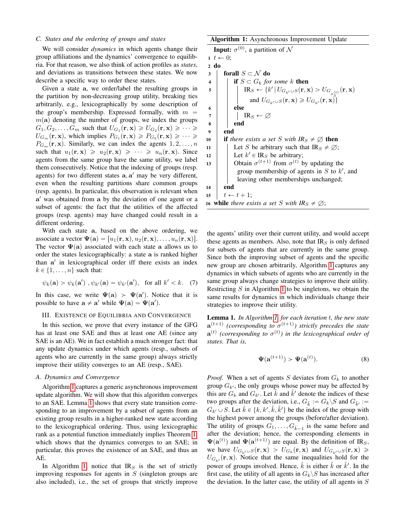# <span id="page-3-1"></span>*C. States and the ordering of groups and states*

We will consider *dynamics* in which agents change their group affiliations and the dynamics' convergence to equilibria. For that reason, we also think of action profiles as *states*, and deviations as transitions between these states. We now describe a specific way to order these states.

Given a state a, we order/label the resulting groups in the partition by non-decreasing group utility, breaking ties arbitrarily, e.g., lexicographically by some description of the group's membership. Expressed formally, with  $m =$  $m(a)$  denoting the number of groups, we index the groups  $G_1, G_2, \ldots, G_m$  such that  $U_{G_1}(\mathbf{r}, \mathbf{x}) \geq U_{G_2}(\mathbf{r}, \mathbf{x}) \geq \cdots \geq$  $U_{G_m}(\mathbf{r}, \mathbf{x})$ , which implies  $P_{G_1}(\mathbf{r}, \mathbf{x}) \geq P_{G_2}(\mathbf{r}, \mathbf{x}) \geq \cdots \geq$  $P_{G_m}(\mathbf{r}, \mathbf{x})$ . Similarly, we can index the agents  $1, 2, \ldots, n$ such that  $u_1(\mathbf{r}, \mathbf{x}) \geq u_2(\mathbf{r}, \mathbf{x}) \geq \cdots \geq u_n(\mathbf{r}, \mathbf{x})$ . Since agents from the same group have the same utility, we label them consecutively. Notice that the indexing of groups (resp. agents) for two different states  $a, a'$  may be very different, even when the resulting partitions share common groups (resp. agents). In particular, this observation is relevant when a <sup>1</sup> was obtained from a by the deviation of one agent or a subset of agents: the fact that the utilities of the affected groups (resp. agents) may have changed could result in a different ordering.

With each state a, based on the above ordering, we associate a vector  $\Psi(\mathbf{a}) = [u_1(\mathbf{r}, \mathbf{x}), u_2(\mathbf{r}, \mathbf{x}), \dots, u_n(\mathbf{r}, \mathbf{x})].$ The vector  $\Psi(a)$  associated with each state a allows us to order the states lexicographically: a state a is ranked higher than a' in lexicographical order iff there exists an index  $k \in \{1, \ldots, n\}$  such that:

$$
\psi_k(\mathbf{a}) > \psi_k(\mathbf{a}') \text{ , } \psi_{k'}(\mathbf{a}) = \psi_{k'}(\mathbf{a}'), \text{ for all } k' < k. \tag{7}
$$

In this case, we write  $\Psi(a) > \Psi(a')$ . Notice that it is possible to have  $\mathbf{a} \neq \mathbf{a}'$  while  $\Psi(\mathbf{a}) = \Psi(\mathbf{a}')$ .

#### <span id="page-3-0"></span>III. EXISTENCE OF EQUILIBRIA AND CONVERGENCE

In this section, we prove that every instance of the GFG has at least one SAE and thus at least one AE (since any SAE is an AE). We in fact establish a much stronger fact: that any update dynamics under which agents (resp., subsets of agents who are currently in the same group) always strictly improve their utility converges to an AE (resp., SAE).

## *A. Dynamics and Convergence*

Algorithm [1](#page-3-2) captures a generic asynchronous improvement update algorithm. We will show that this algorithm converges to an SAE. Lemma [1](#page-3-3) shows that every state transition corresponding to an improvement by a subset of agents from an existing group results in a higher-ranked new state according to the lexicographical ordering. Thus, using lexicographic rank as a potential function immediately implies Theorem [1,](#page-4-1) which shows that the dynamics converges to an SAE; in particular, this proves the existence of an SAE, and thus an AE.

In Algorithm [1,](#page-3-2) notice that  $IR<sub>S</sub>$  is the set of strictly improving responses for agents in  $S$  (singleton groups are also included), i.e., the set of groups that strictly improve

Algorithm 1: Asynchronous Improvement Update

**Input:**  $\sigma^{(0)}$ , a partition of N  $1\ t \leftarrow 0;$ 2 do 3 forall  $S \subset \mathcal{N}$  do 4 **if**  $S \subset G_k$  *for some* k **then** 5  $\blacksquare$   $\blacksquare$   $\blacksquare$   $\blacksquare$   $\blacksquare$   $\blacksquare$   $\blacksquare$   $\blacksquare$   $\blacksquare$   $\blacksquare$   $\blacksquare$   $\blacksquare$   $\blacksquare$   $\blacksquare$   $\blacksquare$   $\blacksquare$   $\blacksquare$   $\blacksquare$   $\blacksquare$   $\blacksquare$   $\blacksquare$   $\blacksquare$   $\blacksquare$   $\blacksquare$   $\blacksquare$   $\blacksquare$   $\blacksquare$   $\blacksquare$   $\blacksquare$   $\blacksquare$   $\blacksquare$   $\$ and  $U_{G_{k'} \cup S}(\mathbf{r}, \mathbf{x}) \geq U_{G_{k'}}(\mathbf{r}, \mathbf{x})$ 6 else 7 | |  $\mathbb{R}_S \leftarrow \varnothing$ 8 end 9 end 10 **if** there exists a set S with  $IR_s \neq \emptyset$  then 11 | Let S be arbitrary such that  $IR_S \neq \emptyset$ ; 12 | Let  $k' \in \mathbb{R}_S$  be arbitrary; 13 Obtain  $\sigma^{(t+1)}$  from  $\sigma^{(t)}$  by updating the group membership of agents in  $S$  to  $k'$ , and leaving other memberships unchanged; <sup>14</sup> end 15  $t \leftarrow t + 1;$ 16 while *there exists a set* S with  $IR_S \neq \emptyset$ ;

<span id="page-3-2"></span>the agents' utility over their current utility, and would accept these agents as members. Also, note that  $IR<sub>S</sub>$  is only defined for subsets of agents that are currently in the same group. Since both the improving subset of agents and the specific new group are chosen arbitrarily, Algorithm [1](#page-3-2) captures any dynamics in which subsets of agents who are currently in the same group always change strategies to improve their utility. Restricting  $S$  in Algorithm [1](#page-3-2) to be singletons, we obtain the same results for dynamics in which individuals change their strategies to improve their utility.

<span id="page-3-3"></span>Lemma 1. *In Algorithm [1,](#page-3-2) for each iteration* t*, the new state*  $\mathbf{a}^{(t+1)}$  (corresponding to  $\sigma^{(t+1)}$ ) strictly precedes the state  $\mathbf{a}^{(t)}$  (corresponding to  $\sigma^{(t)}$ ) in the lexicographical order of *states. That is,*

$$
\Psi(\mathbf{a}^{(t+1)}) > \Psi(\mathbf{a}^{(t)}).
$$
 (8)

*Proof.* When a set of agents S deviates from  $G_k$  to another group  $G_{k'}$ , the only groups whose power may be affected by this are  $G_k$  and  $G_{k'}$ . Let  $\tilde{k}$  and  $\tilde{k}'$  denote the indices of these two groups after the deviation, i.e.,  $G_{\tilde{k}} := G_k \backslash S$  and  $G_{\tilde{k}'} :=$  $G_{k'} \cup S$ . Let  $\hat{k} \in \{k, k', \tilde{k}, \tilde{k'}\}$  be the index of the group with the highest power among the groups (before/after deviation). The utility of groups  $G_1, \ldots, G_{\hat{k}-1}$  is the same before and after the deviation; hence, the corresponding elements in  $\Psi(\mathbf{a}^{(t)})$  and  $\Psi(\mathbf{a}^{(t+1)})$  are equal. By the definition of IR<sub>S</sub>, we have  $U_{G_{k'} \cup S}(\mathbf{r}, \mathbf{x}) > U_{G_k}(\mathbf{r}, \mathbf{x})$  and  $U_{G_{k'} \cup S}(\mathbf{r}, \mathbf{x}) \geq$  $U_{G_{k'}}(\mathbf{r}, \mathbf{x})$ . Notice that the same inequalities hold for the power of groups involved. Hence,  $\hat{k}$  is either  $\tilde{k}$  or  $\tilde{k}'$ . In the first case, the utility of all agents in  $G_k \backslash S$  has increased after the deviation. In the latter case, the utility of all agents in  $S$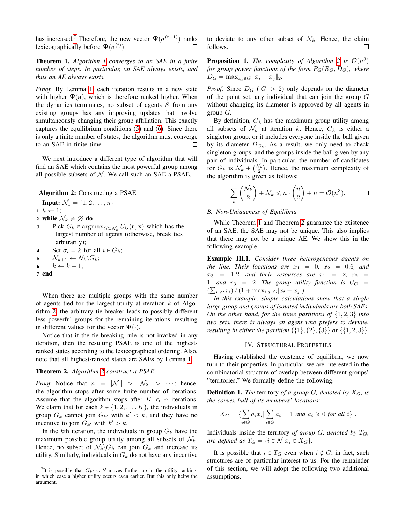has increased.<sup>[7](#page-4-2)</sup> Therefore, the new vector  $\Psi(\sigma^{(t+1)})$  ranks lexicographically before  $\Psi(\sigma^{(t)})$ . П

<span id="page-4-1"></span>Theorem 1. *Algorithm [1](#page-3-2) converges to an SAE in a finite number of steps. In particular, an SAE always exists, and thus an AE always exists.*

*Proof.* By Lemma [1,](#page-3-3) each iteration results in a new state with higher  $\Psi(a)$ , which is therefore ranked higher. When the dynamics terminates, no subset of agents  $S$  from any existing groups has any improving updates that involve simultaneously changing their group affiliation. This exactly captures the equilibrium conditions [\(5\)](#page-2-2) and [\(6\)](#page-2-3). Since there is only a finite number of states, the algorithm must converge to an SAE in finite time.  $\Box$ 

We next introduce a different type of algorithm that will find an SAE which contains the most powerful group among all possible subsets of  $N$ . We call such an SAE a PSAE.

| <b>Algorithm 2:</b> Constructing a PSAE                                                            |
|----------------------------------------------------------------------------------------------------|
| <b>Input:</b> $\mathcal{N}_1 = \{1, 2, , n\}$                                                      |
| $1 \; k \leftarrow 1$ :                                                                            |
| 2 while $\mathcal{N}_k \neq \emptyset$ do                                                          |
| 3 Pick $G_k \in \text{argmax}_{G \subset \mathcal{N}_k} U_G(\mathbf{r}, \mathbf{x})$ which has the |
| largest number of agents (otherwise, break ties                                                    |
| arbitrarily);                                                                                      |
| Set $\sigma_i = k$ for all $i \in G_k$ ;<br>$\overline{4}$                                         |
| 5   $\mathcal{N}_{k+1} \leftarrow \mathcal{N}_k \backslash G_k;$                                   |
| $k \leftarrow k + 1;$                                                                              |
|                                                                                                    |

<span id="page-4-3"></span>When there are multiple groups with the same number of agents tied for the largest utility at iteration  $k$  of Algorithm [2,](#page-4-3) the arbitrary tie-breaker leads to possibly different less powerful groups for the remaining iterations, resulting in different values for the vector  $\Psi(\cdot)$ .

Notice that if the tie-breaking rule is not invoked in any iteration, then the resulting PSAE is one of the highestranked states according to the lexicographical ordering. Also, note that all highest-ranked states are SAEs by Lemma [1.](#page-3-3)

# <span id="page-4-4"></span>Theorem 2. *Algorithm [2](#page-4-3) construct a PSAE.*

*Proof.* Notice that  $n = |\mathcal{N}_1| > |\mathcal{N}_2| > \cdots$ ; hence, the algorithm stops after some finite number of iterations. Assume that the algorithm stops after  $K \leq n$  iterations. We claim that for each  $k \in \{1, 2, \ldots, K\}$ , the individuals in group  $G_k$  cannot join  $G_{k'}$  with  $k' < k$ , and they have no incentive to join  $G_{k'}$  with  $k' > k$ .

In the kth iteration, the individuals in group  $G_k$  have the maximum possible group utility among all subsets of  $\mathcal{N}_k$ . Hence, no subset of  $\mathcal{N}_k \backslash G_k$  can join  $G_k$  and increase its utility. Similarly, individuals in  $G_k$  do not have any incentive to deviate to any other subset of  $\mathcal{N}_k$ . Hence, the claim follows.  $\Box$ 

**Proposition 1.** The complexity of Algorithm [2](#page-4-3) is  $\mathcal{O}(n^3)$ *for group power functions of the form*  $P_G(R_G, D_G)$ *, where*  $D_G = \max_{i,j \in G} ||x_i - x_j||_2.$ 

*Proof.* Since  $D_G$  ( $|G| > 2$ ) only depends on the diameter of the point set, any individual that can join the group  $G$ without changing its diameter is approved by all agents in group  $G$ .

By definition,  $G_k$  has the maximum group utility among all subsets of  $\mathcal{N}_k$  at iteration k. Hence,  $G_k$  is either a singleton group, or it includes everyone inside the ball given by its diameter  $D_{G_k}$ . As a result, we only need to check singleton groups, and the groups inside the ball given by any pair of individuals. In particular, the number of candidates<br>for  $C_k$  is  $N_k + \binom{N_k}{k}$ . Hence, the maximum complexity of for  $G_k$  is  $\mathcal{N}_k + \binom{\mathcal{N}_k}{2}$ . Hence, the maximum complexity of the algorithm is given as follows: ˙

$$
\sum_{k} \binom{\mathcal{N}_k}{2} + \mathcal{N}_k \leqslant n \cdot \binom{n}{2} + n = \mathcal{O}(n^3). \qquad \Box
$$

# *B. Non-Uniqueness of Equilibria*

While Theorem [1](#page-4-1) and Theorem [2](#page-4-4) guarantee the existence of an SAE, the SAE may not be unique. This also implies that there may not be a unique AE. We show this in the following example.

Example III.1. *Consider three heterogeneous agents on the line. Their locations are*  $x_1 = 0$ ,  $x_2 = 0.6$ *, and*  $x_3 = 1.2$ *, and their resources are*  $r_1 = 2$ ,  $r_2 =$ 1, and  $r_3 = 2$ . The group utility function is  $U_G =$  $\left(\sum_{i \in G} r_i\right) / (1 + \max_{i,j \in G} |x_i - x_j|).$ 

*In this example, simple calculations show that a single large group and groups of isolated individuals are both SAEs. On the other hand, for the three partitions of*  $\{1, 2, 3\}$  *into two sets, there is always an agent who prefers to deviate, resulting in either the partition*  $\{\{1\}, \{2\}, \{3\}\}\$  *or*  $\{\{1, 2, 3\}\}.$ 

### IV. STRUCTURAL PROPERTIES

<span id="page-4-0"></span>Having established the existence of equilibria, we now turn to their properties. In particular, we are interested in the combinatorial structure of overlap between different groups' "territories." We formally define the following:

**Definition 1.** *The* territory of a group G, denoted by  $X_G$ , is *the convex hull of its members' locations:*

$$
X_G = \left\{ \sum_{i \in G} a_i x_i \middle| \sum_{i \in G} a_i = 1 \text{ and } a_i \geq 0 \text{ for all } i \right\}.
$$

Individuals inside the territory *of group*  $G$ *, denoted by*  $T_G$ *, are defined as*  $T_G = \{i \in \mathcal{N} | x_i \in X_G\}.$ 

It is possible that  $i \in T_G$  even when  $i \notin G$ ; in fact, such structures are of particular interest to us. For the remainder of this section, we will adopt the following two additional assumptions.

<span id="page-4-2"></span><sup>&</sup>lt;sup>7</sup>It is possible that  $G_{k'} \cup S$  moves further up in the utility ranking, in which case a higher utility occurs even earlier. But this only helps the argument.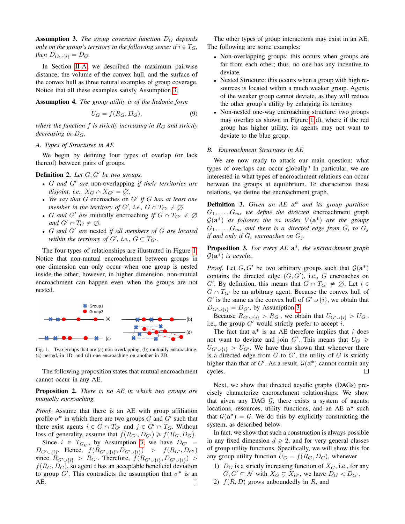<span id="page-5-0"></span>Assumption 3. *The group coverage function* D<sup>G</sup> *depends only on the group's territory in the following sense: if*  $i \in T_G$ , *then*  $D_{G \cup \{i\}} = D_G$ .

In Section [II-A,](#page-1-6) we described the maximum pairwise distance, the volume of the convex hull, and the surface of the convex hull as three natural examples of group coverage. Notice that all these examples satisfy Assumption [3.](#page-5-0)

<span id="page-5-2"></span>Assumption 4. *The group utility is of the hedonic form*

$$
U_G = f(R_G, D_G),\tag{9}
$$

*where the function*  $f$  *is strictly increasing in*  $R<sub>G</sub>$  *and strictly decreasing in*  $D_G$ .

### *A. Types of Structures in AE*

We begin by defining four types of overlap (or lack thereof) between pairs of groups.

**Definition 2.** Let  $G, G'$  be two groups.

- G and G' are non-overlapping *if their territories are disjoint, i.e.,*  $X_G \cap X_{G'} = \emptyset$ .
- $\bullet$  We say that G encroaches on G' if G has at least one *member in the territory of G', i.e.,*  $G \cap T_{G'} \neq \emptyset$ .
- *G and G' are* mutually encroaching *if*  $G \cap T_{G'} \neq \emptyset$ *and*  $G' \cap T_G \neq \emptyset$ *.*
- ' G *and* G<sup>1</sup> *are* nested *if all members of* G *are located within the territory of G', i.e.,*  $G \subseteq T_{G'}$ *.*

The four types of relationships are illustrated in Figure [1.](#page-5-1) Notice that non-mutual encroachment between groups in one dimension can only occur when one group is nested inside the other; however, in higher dimension, non-mutual encroachment can happen even when the groups are not nested.



<span id="page-5-1"></span>Fig. 1. Two groups that are (a) non-overlapping, (b) mutually-encroaching, (c) nested, in 1D, and (d) one encroaching on another in 2D.

The following proposition states that mutual encroachment cannot occur in any AE.

# Proposition 2. *There is no AE in which two groups are mutually encroaching.*

*Proof.* Assume that there is an AE with group affiliation profile  $\sigma^*$  in which there are two groups G and G' such that there exist agents  $i \in G \cap T_{G'}$  and  $j \in G' \cap T_G$ . Without loss of generality, assume that  $f(R_{G'}, D_{G'}) \geq f(R_G, D_G)$ .

Since  $i \in T_{G_{k'}}$ , by Assumption [3,](#page-5-0) we have  $D_{G'} =$  $D_{G' \cup \{i\}}$ . Hence,  $f(R_{G' \cup \{i\}}, D_{G' \cup \{i\}}) > f(R_{G'}, D_{G'})$ since  $R_{G' \cup \{i\}} > R_{G'}$ . Therefore,  $f(R_{G' \cup \{i\}}, D_{G' \cup \{i\}}) >$  $f(R_G, D_G)$ , so agent i has an acceptable beneficial deviation to group G'. This contradicts the assumption that  $\sigma^*$  is an AE.  $\Box$ 

The other types of group interactions may exist in an AE. The following are some examples:

- ' Non-overlapping groups: this occurs when groups are far from each other; thus, no one has any incentive to deviate.
- ' Nested Structure: this occurs when a group with high resources is located within a much weaker group. Agents of the weaker group cannot deviate, as they will reduce the other group's utility by enlarging its territory.
- ' Non-nested one-way encroaching structure: two groups may overlap as shown in Figure [1\(](#page-5-1)d), where if the red group has higher utility, its agents may not want to deviate to the blue group.

## *B. Encroachment Structures in AE*

We are now ready to attack our main question: what types of overlaps can occur globally? In particular, we are interested in what types of encroachment relations can occur between the groups at equilibrium. To characterize these relations, we define the encroachment graph.

Definition 3. *Given an AE* a ˚ *and its group partition*  $G_1, \ldots, G_m$ , we define the directed encroachment graph  $G(\mathbf{a}^*)$  as follows: the  $m$  nodes  $V(\mathbf{a}^*)$  are the groups  $G_1, \ldots, G_m$ , and there is a directed edge from  $G_i$  to  $G_j$ *if and only if*  $G_i$  *encroaches on*  $G_j$ *.* 

Proposition 3. *For every AE* a ˚*, the encroachment graph*  $\mathcal{G}(\mathbf{a}^*)$  is acyclic.

*Proof.* Let  $G, G'$  be two arbitrary groups such that  $\mathcal{G}(\mathbf{a}^*)$ contains the directed edge  $(G, G')$ , i.e., G encroaches on G'. By definition, this means that  $G \cap T_{G'} \neq \emptyset$ . Let  $i \in$  $G \cap T_{G'}$  be an arbitrary agent. Because the convex hull of G' is the same as the convex hull of  $G' \cup \{i\}$ , we obtain that  $D_{G' \cup \{i\}} = D_{G'}$ , by Assumption [3.](#page-5-0)

Because  $R_{G' \cup \{i\}} > R_{G'}$ , we obtain that  $U_{G' \cup \{i\}} > U_{G'}$ , i.e., the group  $G'$  would strictly prefer to accept i.

The fact that  $a^*$  is an AE therefore implies that i does not want to deviate and join G'. This means that  $U_G \ge$  $U_{G' \cup \{i\}} > U_{G'}$ . We have thus shown that whenever there is a directed edge from  $G$  to  $G'$ , the utility of  $G$  is strictly higher than that of G'. As a result,  $\mathcal{G}(\mathbf{a}^*)$  cannot contain any cycles.  $\Box$ 

Next, we show that directed acyclic graphs (DAGs) precisely characterize encroachment relationships. We show that given any DAG  $G$ , there exists a system of agents, locations, resources, utility functions, and an AE a\* such that  $\mathcal{G}(\mathbf{a}^*) = \mathcal{G}$ . We do this by explicitly constructing the system, as described below.

In fact, we show that such a construction is always possible in any fixed dimension  $d \ge 2$ , and for very general classes of group utility functions. Specifically, we will show this for any group utility function  $U_G = f(R_G, D_G)$ , whenever

- 1)  $D_G$  is a strictly increasing function of  $X_G$ , i.e., for any  $G, G' \subseteq \mathcal{N}$  with  $X_G \subsetneq X_{G'}$ , we have  $D_G < D_{G'}$ .
- 2)  $f(R, D)$  grows unboundedly in R, and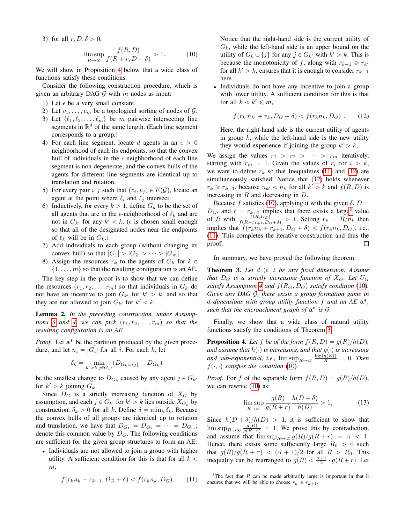3) for all  $r, D, \delta > 0$ ,

$$
\limsup_{R \to \infty} \frac{f(R, D)}{f(R + r, D + \delta)} > 1.
$$
 (10)

We will show in Proposition [4](#page-6-0) below that a wide class of functions satisfy these conditions.

Consider the following construction procedure, which is given an arbitrary DAG  $G$  with  $m$  nodes as input:

- 1) Let  $\epsilon$  be a very small constant.
- 2) Let  $v_1, \ldots, v_m$  be a topological sorting of nodes of  $\mathcal{G}$ .
- 3) Let  $\{\ell_1, \ell_2, \ldots, \ell_m\}$  be m pairwise intersecting line segments in  $\mathbb{R}^d$  of the same length. (Each line segment corresponds to a group.)
- 4) For each line segment, locate d agents in an  $\epsilon > 0$ neighborhood of each its endpoints, so that the convex hull of individuals in the  $\epsilon$ -neighborhood of each line segment is non-degenerate, and the convex hulls of the agents for different line segments are identical up to translation and rotation.
- 5) For every pair i, j such that  $(v_i, v_j) \in E(G)$ , locate an agent at the point where  $\ell_i$  and  $\ell_j$  intersect.
- 6) Inductively, for every  $k > 1$ , define  $G_k$  to be the set of all agents that are in the  $\epsilon$ -neighborhood of  $\ell_k$  and are not in  $G_{k'}$  for any  $k' < k$ . ( $\epsilon$  is chosen small enough so that all of the designated nodes near the endpoints of  $\ell_k$  will be in  $G_k$ .)
- 7) Add individuals to each group (without changing its convex hull) so that  $|G_1| > |G_2| > \cdots > |G_m|$ .
- 8) Assign the resources  $r_k$  to the agents of  $G_k$  for  $k \in \mathbb{R}$  $\{1, \ldots, m\}$  so that the resulting configuration is an AE.

The key step in the proof is to show that we can define the resources  $(r_1, r_2, \ldots, r_m)$  so that individuals in  $G_k$  do not have an incentive to join  $G_{k'}$  for  $k' > k$ , and so that they are not allowed to join  $G_{k'}$  for  $k' < k$ .

Lemma 2. *In the preceding construction, under Assumptions* [3](#page-5-0) and [4,](#page-5-2) we can pick  $(r_1, r_2, \ldots, r_m)$  so that the *resulting configuration is an AE.*

Proof. Let  $a^*$  be the partition produced by the given procedure, and let  $n_i = |G_i|$  for all i. For each k, let

$$
\delta_k = \min_{k'>k, j \in G_{k'}} (D_{G_k \cup \{j\}} - D_{G_k})
$$

be the smallest change to  $D_{G_k}$  caused by any agent  $j \in G_{k'}$ for  $k' > k$  joining  $G_k$ .

Since  $D_G$  is a strictly increasing function of  $X_G$  by assumption, and each  $j \in G_{k'}$  for  $k' > k$  lies outside  $X_{G_k}$  by construction,  $\delta_k > 0$  for all k. Define  $\delta = \min_k \delta_k$ . Because the convex hulls of all groups are identical up to rotation and translation, we have that  $D_{G_1} = D_{G_2} = \cdots = D_{G_m}$ ; denote this common value by  $D_G$ . The following conditions are sufficient for the given group structures to form an AE:

' Individuals are not allowed to join a group with higher utility. A sufficient condition for this is that for all  $k <$  $m,$ 

$$
f(r_k n_k + r_{k+1}, D_G + \delta) < f(r_k n_k, D_G). \tag{11}
$$

<span id="page-6-3"></span>Notice that the right-hand side is the current utility of  $G_k$ , while the left-hand side is an upper bound on the utility of  $G_k \cup \{j\}$  for any  $j \in G_{k'}$  with  $k' > k$ . This is because the monotonicity of f, along with  $r_{k+1} \ge r_{k'}$ for all  $k' > k$ , ensures that it is enough to consider  $r_{k+1}$ here.

' Individuals do not have any incentive to join a group with lower utility. A sufficient condition for this is that for all  $k < k' \leq m$ ,

<span id="page-6-2"></span>
$$
f(r_{k'}n_{k'} + r_k, D_G + \delta) < f(r_k n_k, D_G) \tag{12}
$$

Here, the right-hand side is the current utility of agents in group  $k$ , while the left-hand side is the new utility they would experience if joining the group  $k' > k$ .

We assign the values  $r_1 > r_2 > \cdots > r_m$  iteratively, starting with  $r_m = 1$ . Given the values of  $r_i$  for  $i > k$ , we want to define  $r_k$  so that Inequalities [\(11\)](#page-6-1) and [\(12\)](#page-6-2) are simultaneously satisfied. Notice that [\(12\)](#page-6-2) holds whenever  $r_k \ge r_{k+1}$ , because  $n_{k'} < n_k$  for all  $k' > k$  and  $f(R, D)$  is increasing in  $R$  and decreasing in  $D$ .

Because f satisfies [\(10\)](#page-6-3), applying it with the given  $\delta$ ,  $D =$  $D_G$ , and  $r = r_{k+1}$  implies that there exists a large<sup>[8](#page-6-4)</sup> value of R with  $\frac{f(R, D_G)}{f(R+r_{k+1}, D_G+\delta)} > 1$ . Setting  $r_k = R/n_k$  then implies that  $f(r_k n_k + r_{k+1}, D_G + \delta) < f(r_k n_k, D_G)$ , i.e., [\(11\)](#page-6-1). This completes the iterative construction and thus the proof.  $\Box$ 

In summary, we have proved the following theorem:

<span id="page-6-5"></span>**Theorem 3.** Let  $d \geq 2$  be any fixed dimension. Assume *that*  $D_G$  *is a strictly increasing function of*  $X_G$ *. Let*  $U_G$ *satisfy Assumption* [4](#page-5-2) *and*  $f(R_G, D_G)$  *satisfy condition* [\(10\)](#page-6-3)*. Given any DAG* G*, there exists a group formation game in* d *dimensions with group utility function* f *and an AE* a ˚*, such that the encroachment graph of* a ˚ *is* G*.*

Finally, we show that a wide class of natural utility functions satisfy the conditions of Theorem [3.](#page-6-5)

<span id="page-6-0"></span>**Proposition 4.** Let f be of the form  $f(R, D) = g(R)/h(D)$ , *and assume that*  $h(\cdot)$  *is increasing, and that*  $g(\cdot)$  *is increasing and sub-exponential, i.e.,*  $\limsup_{R\to\infty} \frac{\log(g(R))}{R} = 0$ . Then  $f(\cdot, \cdot)$  *satisfies the condition* [\(10\)](#page-6-3).

*Proof.* For f of the separable form  $f(R, D) = g(R)/h(D)$ , we can rewrite  $(10)$  as:

$$
\limsup_{R \to \infty} \frac{g(R)}{g(R+r)} \frac{h(D+\delta)}{h(D)} > 1,
$$
\n(13)

Since  $h(D + \delta)/h(D) > 1$ , it is sufficient to show that  $\limsup_{R\to\infty} \frac{g(R)}{g(R+r)} = 1$ . We prove this by contradiction, and assume that  $\limsup_{R \to \infty} g(R)/g(R + r) = \alpha < 1$ . Hence, there exists some sufficiently large  $R_0 > 0$  such that  $g(R)/g(R + r) < (\alpha + 1)/2$  for all  $R > R_0$ . This inequality can be rearranged to  $g(R) < \frac{\alpha+1}{2} \cdot g(R+r)$ . Let

<span id="page-6-4"></span><span id="page-6-1"></span><sup>8</sup>The fact that  $R$  can be made arbitrarily large is important in that it ensures that we will be able to choose  $r_k \ge r_{k+1}$ .